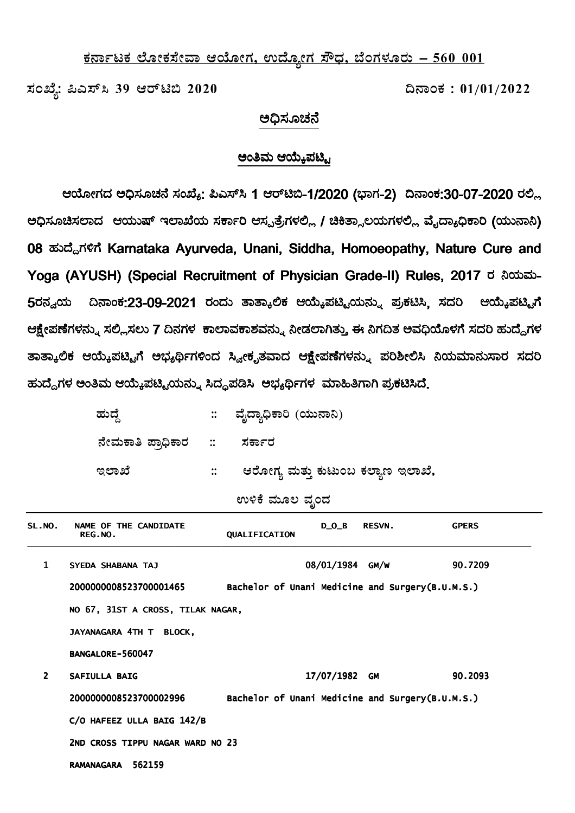## <u>ಕರ್ನಾಟಕ ಲೋಕಸೇವಾ ಆಯೋಗ, ಉದ್ಯೋಗ ಸೌಧ, ಬೆಂಗಳೂರು – 560 001</u>

**¸ÀASÉå: ¦J¸ï¹ 39 Dgïn© 2020 ¢£ÁAPÀ : 01/01/2022** 

## ප්රක්ෂක කරන කරන කරන <mark>පර</mark> ಅಧಿಸೂಚನೆ

## ಅಂತಿಮ ಆಯ್ಕೆಪಟ್ಟಿ

ಆಯೋಗದ ಅಧಿಸೂಚನೆ ಸಂಖ್ಯೆ: ಪಿಎಸ್ಸ್ 1 ಆರ್ಟಿಬಿ-1/2020 (ಭಾಗ-2) ದಿನಾಂಕ:30-07-2020 ರಲ್ಲಿ ಅಧಿಸೂಚಿಸಲಾದ ಆಯುಷ್ ಇಲಾಖೆಯ ಸರ್ಕಾರಿ ಆಸ್ಪತ್ರೆಗಳಲ್ಲಿ / ಚಿಕಿತ್ಸಾಲಯಗಳಲ್ಲಿ ವೈದ್ಯಾಧಿಕಾರಿ (ಯುನಾನಿ) 08 ಹುದ್ದೆಗಳಿಗೆ Karnataka Ayurveda, Unani, Siddha, Homoeopathy, Nature Cure and Yoga (AYUSH) (Special Recruitment of Physician Grade-II) Rules, 2017 ರ ನಿಯಮ-5ರನ್ವಯ ದಿನಾಂಕ:23-09-2021 ರಂದು ತಾತ್ಕಾಲಿಕ ಆಯ್ಕೆಪಟ್ಟಿಯನ್ನು ಪ್ರಕಟಿಸಿ, ಸದರಿ ಆಯ್ಕೆಪಟ್ಟಿಗೆ ಆಕ್ಷೇಪಣೆಗಳನ್ನು ಸಲ್ಲಿಸಲು 7 ದಿನಗಳ ಕಾಲಾವಕಾಶವನ್ನು ನೀಡಲಾಗಿತ್ತು ಈ ನಿಗದಿತ ಅವಧಿಯೊಳಗೆ ಸದರಿ ಹುದ್ದೆಗಳ ತಾತ್ಕಾಲಿಕ ಆಯ್ಕೆಪಟ್ಟಿಗೆ ಅಭ್ಯರ್ಥಿಗಳಿಂದ ಸ್ವೀಕೃತವಾದ ಆಕ್ಷೇಪಣೆಗಳನ್ನು ಪರಿಶೀಲಿಸಿ ನಿಯಮಾನುಸಾರ ಸದರಿ ಹುದ್ದೆಗಳ ಅಂತಿಮ ಆಯ್ಕೆಪಟ್ಟಿಯನ್ನು ಸಿದ್ಧಪಡಿಸಿ ಅಭ್ಯರ್ಥಿಗಳ ಮಾಹಿತಿಗಾಗಿ ಪ್ರಕಟಿಸಿದೆ<sub>.</sub>

| ಹುದೆ                              |              | :: ವೈದ್ಯಾಧಿಕಾರಿ (ಯುನಾನಿ)          |
|-----------------------------------|--------------|-----------------------------------|
| ನೇಮಕಾತಿ ಪ್ರಾಧಿಕಾರ   ::     ಸರ್ಕಾರ |              |                                   |
| ಇಲಾಖೆ                             | $\mathbb{R}$ | ಆರೋಗ್ಯ ಮತ್ತು ಕುಟುಂಬ ಕಲ್ಯಾಣ ಇಲಾಖೆ, |

ಉಳಿಕೆ ಮೂಲ **ವೃಂ**ದ

| SL.NO.        | NAME OF THE CANDIDATE<br>REG.NO.  | QUALIFICATION                                    | $D_0_B$         | <b>RESVN.</b> | <b>GPERS</b> |
|---------------|-----------------------------------|--------------------------------------------------|-----------------|---------------|--------------|
| $\mathbf{1}$  | SYEDA SHABANA TAJ                 |                                                  | 08/01/1984 GM/W |               | 90.7209      |
|               | 2000000008523700001465            | Bachelor of Unani Medicine and Surgery(B.U.M.S.) |                 |               |              |
|               | NO 67, 31ST A CROSS, TILAK NAGAR, |                                                  |                 |               |              |
|               | JAYANAGARA 4TH T BLOCK,           |                                                  |                 |               |              |
|               | BANGALORE-560047                  |                                                  |                 |               |              |
| $\mathcal{P}$ | <b>SAFIULLA BAIG</b>              |                                                  | 17/07/1982      | <b>GM</b>     | 90.2093      |
|               | 2000000008523700002996            | Bachelor of Unani Medicine and Surgery(B.U.M.S.) |                 |               |              |
|               | C/O HAFEEZ ULLA BAIG 142/B        |                                                  |                 |               |              |
|               | 2ND CROSS TIPPU NAGAR WARD NO 23  |                                                  |                 |               |              |
|               | 562159<br><b>RAMANAGARA</b>       |                                                  |                 |               |              |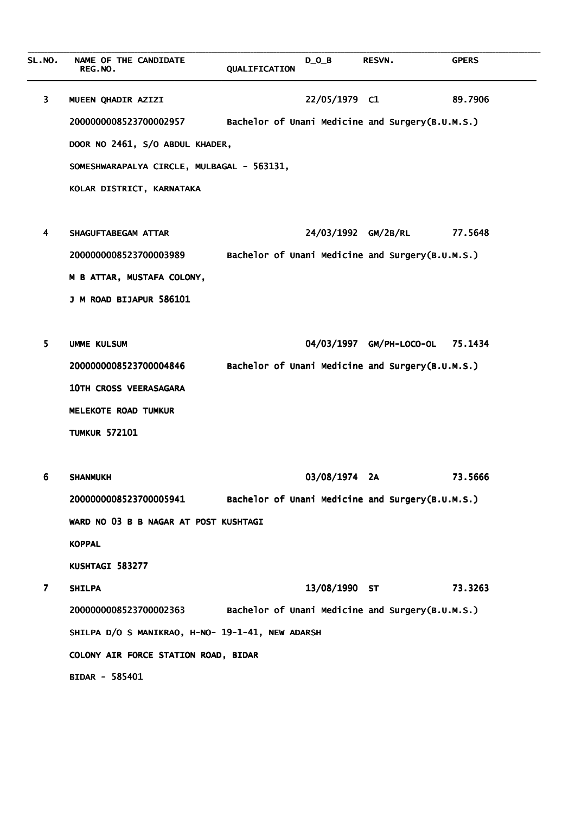**\_\_\_\_\_\_\_\_\_\_\_\_\_\_\_\_\_\_\_\_\_\_\_\_\_\_\_\_\_\_\_\_\_\_\_\_\_\_\_\_\_\_\_\_\_\_\_\_\_\_\_\_\_\_\_\_\_\_\_\_\_\_\_\_\_\_\_\_\_\_\_\_\_\_\_\_\_\_\_\_\_\_\_\_\_\_\_\_\_\_\_\_\_\_\_\_\_\_\_\_\_\_\_\_\_\_\_\_\_\_\_\_\_\_\_\_\_\_\_\_\_\_\_\_\_\_\_\_\_\_\_\_\_\_\_\_\_\_\_\_\_\_\_\_\_\_\_\_\_\_\_\_\_\_\_\_\_\_\_**  SL.NO. NAME OF THE CANDIDATE  $\overline{D\_O\_B}$  RESVN. GPERS RESVN. **OUALIFICATION**  $\mathcal{L}_\mathcal{L} = \{ \mathcal{L}_\mathcal{L} = \{ \mathcal{L}_\mathcal{L} = \{ \mathcal{L}_\mathcal{L} = \{ \mathcal{L}_\mathcal{L} = \{ \mathcal{L}_\mathcal{L} = \{ \mathcal{L}_\mathcal{L} = \{ \mathcal{L}_\mathcal{L} = \{ \mathcal{L}_\mathcal{L} = \{ \mathcal{L}_\mathcal{L} = \{ \mathcal{L}_\mathcal{L} = \{ \mathcal{L}_\mathcal{L} = \{ \mathcal{L}_\mathcal{L} = \{ \mathcal{L}_\mathcal{L} = \{ \mathcal{L}_\mathcal{$ 3 MUEEN QHADIR AZIZI 22/05/1979 C1 89.7906 2000000008523700002957 Bachelor of Unani Medicine and Surgery(B.U.M.S.) DOOR NO 2461, S/O ABDUL KHADER, SOMESHWARAPALYA CIRCLE, MULBAGAL - 563131, KOLAR DISTRICT, KARNATAKA 4 SHAGUFTABEGAM ATTAR 24/03/1992 GM/2B/RL 77.5648 2000000008523700003989 Bachelor of Unani Medicine and Surgery(B.U.M.S.) M B ATTAR, MUSTAFA COLONY, J M ROAD BIJAPUR 586101 5 UMME KULSUM 64/03/1997 GM/PH-LOCO-OL 75.1434 2000000008523700004846 Bachelor of Unani Medicine and Surgery(B.U.M.S.) 10TH CROSS VEERASAGARA MELEKOTE ROAD TUMKUR **TUMKUR 572101**  6 SHANMUKH 6 03/08/1974 2A 73.5666 3/08/1974 2A 73.5666 73.5666 2000000008523700005941 Bachelor of Unani Medicine and Surgery(B.U.M.S.) WARD NO 03 B B NAGAR AT POST KUSHTAGI **KOPPAL** KUSHTAGI 583277 7 SHILPA 7 13/08/1990 ST 73.3263 3/08/1990 ST 73.3263 73.3263 2000000008523700002363 Bachelor of Unani Medicine and Surgery(B.U.M.S.) SHILPA D/O S MANIKRAO, H-NO- 19-1-41, NEW ADARSH COLONY AIR FORCE STATION ROAD, BIDAR BIDAR - 585401